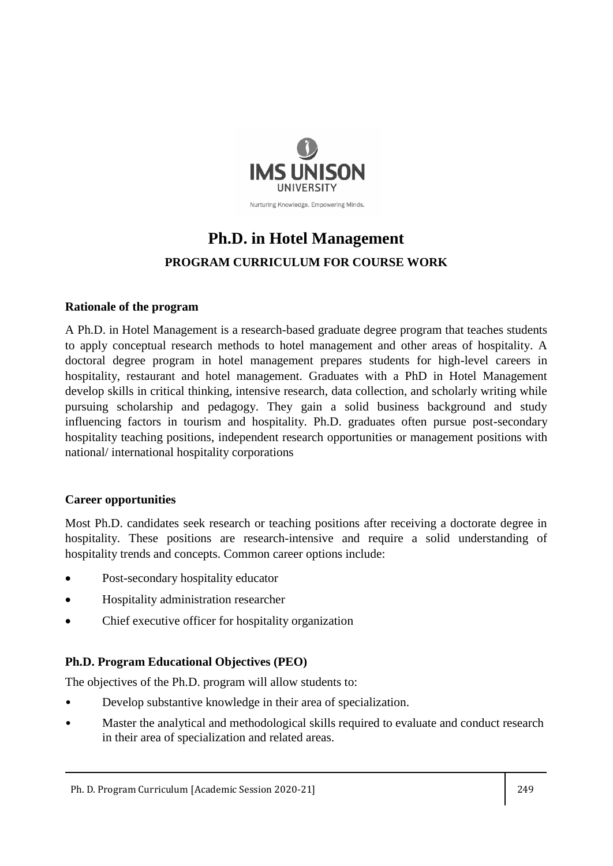

# **Ph.D. in Hotel Management PROGRAM CURRICULUM FOR COURSE WORK**

### **Rationale of the program**

A Ph.D. in Hotel Management is a research-based graduate degree program that teaches students to apply conceptual research methods to hotel management and other areas of hospitality. A doctoral degree program in hotel management prepares students for high-level careers in hospitality, restaurant and hotel management. Graduates with a PhD in Hotel Management develop skills in critical thinking, intensive research, data collection, and scholarly writing while pursuing scholarship and pedagogy. They gain a solid business background and study influencing factors in tourism and hospitality. Ph.D. graduates often pursue post-secondary hospitality teaching positions, independent research opportunities or management positions with national/ international hospitality corporations

#### **Career opportunities**

Most Ph.D. candidates seek research or teaching positions after receiving a doctorate degree in hospitality. These positions are research-intensive and require a solid understanding of hospitality trends and concepts. Common career options include:

- Post-secondary hospitality educator
- Hospitality administration researcher
- Chief executive officer for hospitality organization

### **Ph.D. Program Educational Objectives (PEO)**

The objectives of the Ph.D. program will allow students to:

- Develop substantive knowledge in their area of specialization.
- Master the analytical and methodological skills required to evaluate and conduct research in their area of specialization and related areas.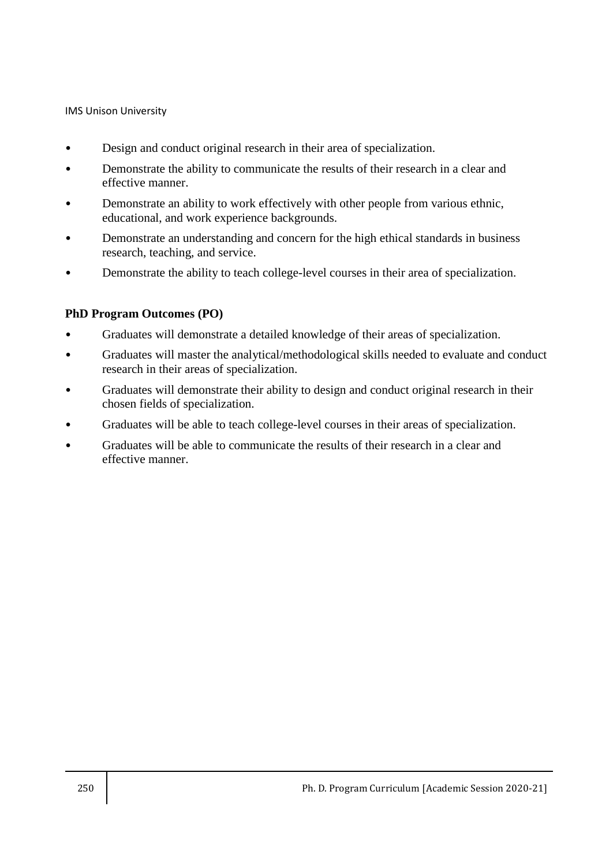- Design and conduct original research in their area of specialization.
- Demonstrate the ability to communicate the results of their research in a clear and effective manner.
- Demonstrate an ability to work effectively with other people from various ethnic, educational, and work experience backgrounds.
- Demonstrate an understanding and concern for the high ethical standards in business research, teaching, and service.
- Demonstrate the ability to teach college-level courses in their area of specialization.

#### **PhD Program Outcomes (PO)**

- Graduates will demonstrate a detailed knowledge of their areas of specialization.
- Graduates will master the analytical/methodological skills needed to evaluate and conduct research in their areas of specialization.
- Graduates will demonstrate their ability to design and conduct original research in their chosen fields of specialization.
- Graduates will be able to teach college-level courses in their areas of specialization.
- Graduates will be able to communicate the results of their research in a clear and effective manner.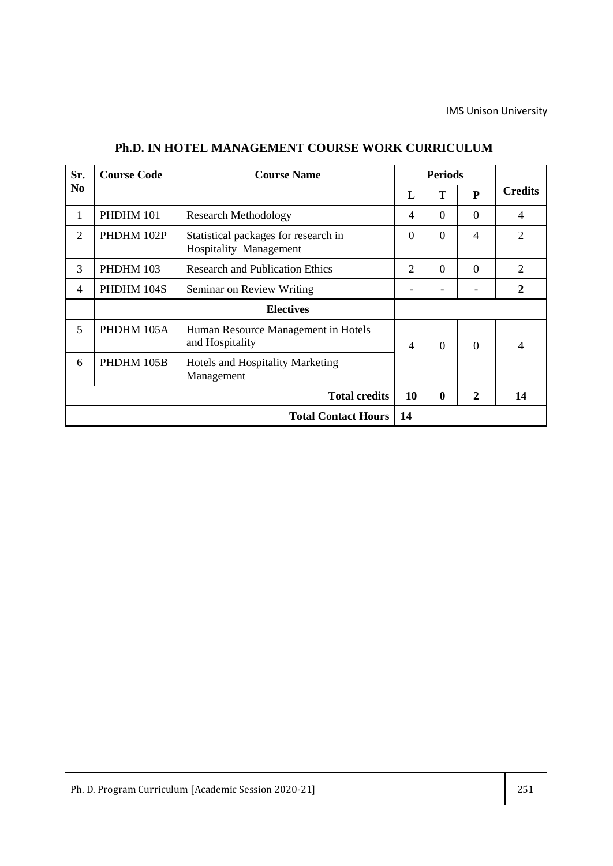| Sr.            | <b>Course Code</b> | <b>Course Name</b>                                                    |                  | <b>Periods</b> |                |                |
|----------------|--------------------|-----------------------------------------------------------------------|------------------|----------------|----------------|----------------|
| N <sub>0</sub> |                    |                                                                       | $\mathbf{L}$     | T              | P              | <b>Credits</b> |
| 1              | PHDHM 101          | <b>Research Methodology</b>                                           | $\overline{4}$   | $\Omega$       | $\overline{0}$ | $\overline{4}$ |
| $\overline{2}$ | PHDHM 102P         | Statistical packages for research in<br><b>Hospitality Management</b> | $\theta$         | $\Omega$       | $\overline{4}$ | $\overline{2}$ |
| 3              | PHDHM 103          | <b>Research and Publication Ethics</b>                                | $\overline{2}$   | $\Omega$       | $\Omega$       | $\overline{2}$ |
| 4              | PHDHM 104S         | Seminar on Review Writing                                             |                  |                |                | $\overline{2}$ |
|                |                    | <b>Electives</b>                                                      |                  |                |                |                |
| 5              | PHDHM 105A         | Human Resource Management in Hotels<br>and Hospitality                | 4                | $\Omega$       | $\theta$       | $\overline{4}$ |
| 6              | PHDHM 105B         | Hotels and Hospitality Marketing<br>Management                        |                  |                |                |                |
|                |                    | 10                                                                    | $\boldsymbol{0}$ | $\overline{2}$ | 14             |                |
|                |                    | 14                                                                    |                  |                |                |                |

#### **Ph.D. IN HOTEL MANAGEMENT COURSE WORK CURRICULUM**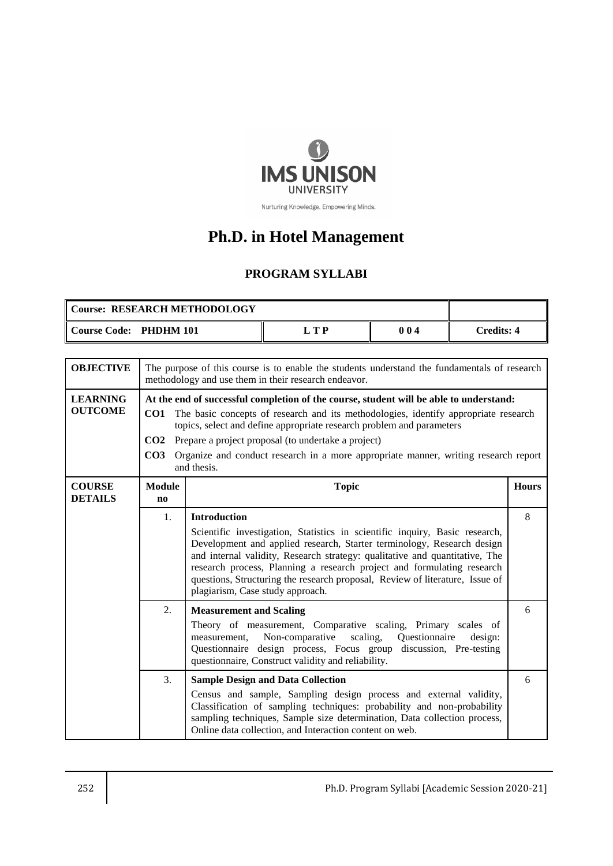

Nurturing Knowledge. Empowering Minds.

# **Ph.D. in Hotel Management**

# **PROGRAM SYLLABI**

| Course: RESEARCH METHODOLOGY |      |     |            |
|------------------------------|------|-----|------------|
| Course Code: PHDHM 101       | т тр | 004 | Credits: 4 |

| <b>OBJECTIVE</b>                                                                                                                                                                                                                                                                                                                     | The purpose of this course is to enable the students understand the fundamentals of research<br>methodology and use them in their research endeavor.                                                                                                                                                                                                                                                                                                             |                                                                                                                                                                                                                                                                                                                                                                                                                                                           |              |  |
|--------------------------------------------------------------------------------------------------------------------------------------------------------------------------------------------------------------------------------------------------------------------------------------------------------------------------------------|------------------------------------------------------------------------------------------------------------------------------------------------------------------------------------------------------------------------------------------------------------------------------------------------------------------------------------------------------------------------------------------------------------------------------------------------------------------|-----------------------------------------------------------------------------------------------------------------------------------------------------------------------------------------------------------------------------------------------------------------------------------------------------------------------------------------------------------------------------------------------------------------------------------------------------------|--------------|--|
| <b>LEARNING</b><br><b>OUTCOME</b>                                                                                                                                                                                                                                                                                                    | At the end of successful completion of the course, student will be able to understand:<br>The basic concepts of research and its methodologies, identify appropriate research<br>CO1<br>topics, select and define appropriate research problem and parameters<br>Prepare a project proposal (to undertake a project)<br>CO <sub>2</sub><br>CO <sub>3</sub><br>Organize and conduct research in a more appropriate manner, writing research report<br>and thesis. |                                                                                                                                                                                                                                                                                                                                                                                                                                                           |              |  |
| <b>COURSE</b><br><b>DETAILS</b>                                                                                                                                                                                                                                                                                                      | <b>Module</b><br>$\mathbf{n}\mathbf{o}$                                                                                                                                                                                                                                                                                                                                                                                                                          | <b>Topic</b>                                                                                                                                                                                                                                                                                                                                                                                                                                              | <b>Hours</b> |  |
| 1.                                                                                                                                                                                                                                                                                                                                   |                                                                                                                                                                                                                                                                                                                                                                                                                                                                  | <b>Introduction</b><br>Scientific investigation, Statistics in scientific inquiry, Basic research,<br>Development and applied research, Starter terminology, Research design<br>and internal validity, Research strategy: qualitative and quantitative, The<br>research process, Planning a research project and formulating research<br>questions, Structuring the research proposal, Review of literature, Issue of<br>plagiarism, Case study approach. | 8            |  |
| 2.                                                                                                                                                                                                                                                                                                                                   |                                                                                                                                                                                                                                                                                                                                                                                                                                                                  | <b>Measurement and Scaling</b><br>Theory of measurement, Comparative scaling, Primary scales of<br>Non-comparative scaling,<br>Questionnaire<br>measurement,<br>design:<br>Questionnaire design process, Focus group<br>discussion, Pre-testing<br>questionnaire, Construct validity and reliability.                                                                                                                                                     | 6            |  |
| 3.<br><b>Sample Design and Data Collection</b><br>Census and sample, Sampling design process and external validity,<br>Classification of sampling techniques: probability and non-probability<br>sampling techniques, Sample size determination, Data collection process,<br>Online data collection, and Interaction content on web. |                                                                                                                                                                                                                                                                                                                                                                                                                                                                  | 6                                                                                                                                                                                                                                                                                                                                                                                                                                                         |              |  |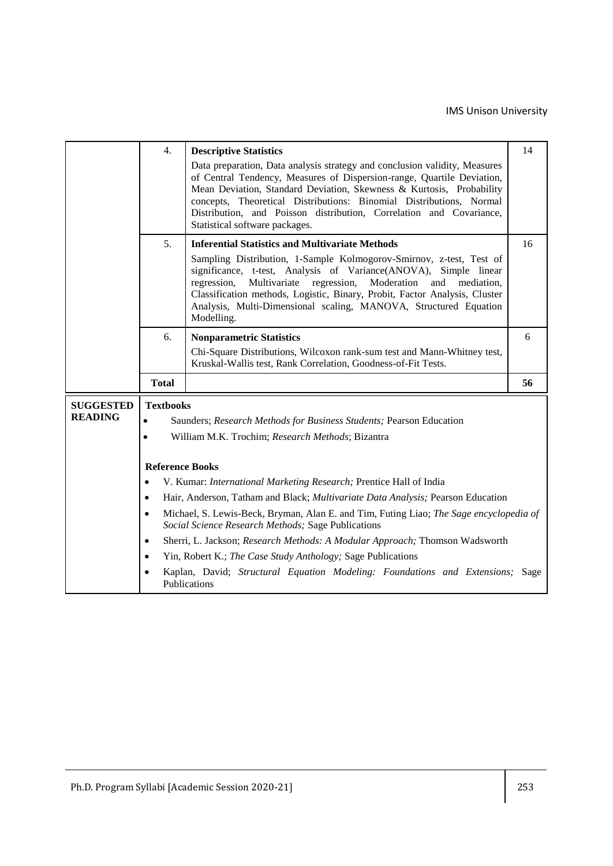|                                    | 4.                                                                                                                                                        | <b>Descriptive Statistics</b><br>Data preparation, Data analysis strategy and conclusion validity, Measures<br>of Central Tendency, Measures of Dispersion-range, Quartile Deviation,<br>Mean Deviation, Standard Deviation, Skewness & Kurtosis, Probability<br>concepts, Theoretical Distributions: Binomial Distributions, Normal<br>Distribution, and Poisson distribution, Correlation and Covariance,<br>Statistical software packages. | 14 |  |  |  |
|------------------------------------|-----------------------------------------------------------------------------------------------------------------------------------------------------------|-----------------------------------------------------------------------------------------------------------------------------------------------------------------------------------------------------------------------------------------------------------------------------------------------------------------------------------------------------------------------------------------------------------------------------------------------|----|--|--|--|
|                                    | 5.                                                                                                                                                        | <b>Inferential Statistics and Multivariate Methods</b><br>Sampling Distribution, 1-Sample Kolmogorov-Smirnov, z-test, Test of<br>significance, t-test, Analysis of Variance(ANOVA), Simple linear<br>Multivariate regression, Moderation<br>regression,<br>and<br>mediation,<br>Classification methods, Logistic, Binary, Probit, Factor Analysis, Cluster<br>Analysis, Multi-Dimensional scaling, MANOVA, Structured Equation<br>Modelling.  | 16 |  |  |  |
|                                    | 6.                                                                                                                                                        | <b>Nonparametric Statistics</b><br>Chi-Square Distributions, Wilcoxon rank-sum test and Mann-Whitney test,<br>Kruskal-Wallis test, Rank Correlation, Goodness-of-Fit Tests.                                                                                                                                                                                                                                                                   | 6  |  |  |  |
|                                    | <b>Total</b>                                                                                                                                              |                                                                                                                                                                                                                                                                                                                                                                                                                                               | 56 |  |  |  |
| <b>SUGGESTED</b><br><b>READING</b> | <b>Textbooks</b><br>$\bullet$<br>$\bullet$                                                                                                                | Saunders; Research Methods for Business Students; Pearson Education<br>William M.K. Trochim; Research Methods; Bizantra                                                                                                                                                                                                                                                                                                                       |    |  |  |  |
|                                    | <b>Reference Books</b>                                                                                                                                    |                                                                                                                                                                                                                                                                                                                                                                                                                                               |    |  |  |  |
|                                    | $\bullet$                                                                                                                                                 | V. Kumar: International Marketing Research; Prentice Hall of India                                                                                                                                                                                                                                                                                                                                                                            |    |  |  |  |
|                                    |                                                                                                                                                           | Hair, Anderson, Tatham and Black; Multivariate Data Analysis; Pearson Education                                                                                                                                                                                                                                                                                                                                                               |    |  |  |  |
|                                    | Michael, S. Lewis-Beck, Bryman, Alan E. and Tim, Futing Liao; The Sage encyclopedia of<br>$\bullet$<br>Social Science Research Methods; Sage Publications |                                                                                                                                                                                                                                                                                                                                                                                                                                               |    |  |  |  |
|                                    | $\bullet$                                                                                                                                                 | Sherri, L. Jackson; Research Methods: A Modular Approach; Thomson Wadsworth                                                                                                                                                                                                                                                                                                                                                                   |    |  |  |  |
|                                    | $\bullet$                                                                                                                                                 | Yin, Robert K.; The Case Study Anthology; Sage Publications                                                                                                                                                                                                                                                                                                                                                                                   |    |  |  |  |
|                                    | $\bullet$                                                                                                                                                 | Kaplan, David; Structural Equation Modeling: Foundations and Extensions; Sage<br>Publications                                                                                                                                                                                                                                                                                                                                                 |    |  |  |  |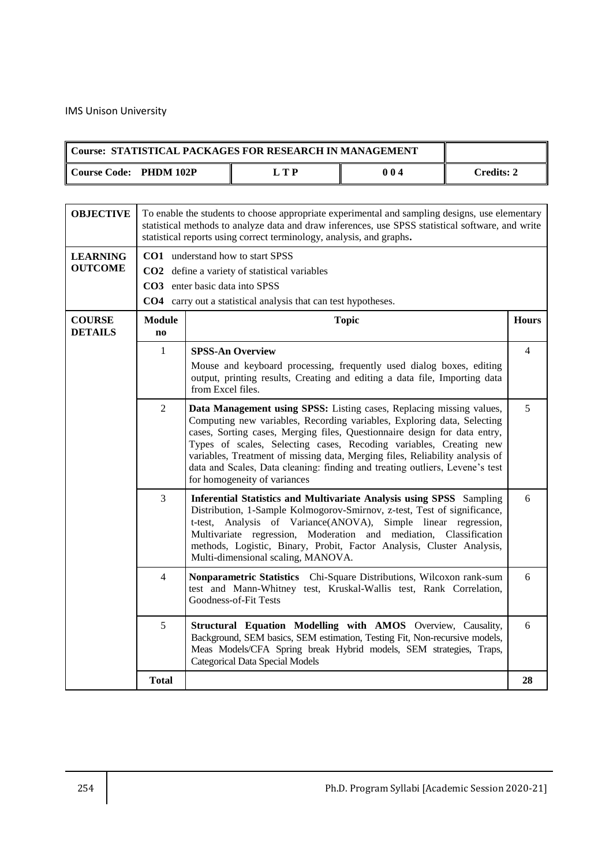| Course: STATISTICAL PACKAGES FOR RESEARCH IN MANAGEMENT |     |     |                   |
|---------------------------------------------------------|-----|-----|-------------------|
| Course Code: PHDM 102P                                  | LTP | 004 | <b>Credits: 2</b> |
|                                                         |     |     |                   |

| <b>OBJECTIVE</b>                  | To enable the students to choose appropriate experimental and sampling designs, use elementary<br>statistical methods to analyze data and draw inferences, use SPSS statistical software, and write<br>statistical reports using correct terminology, analysis, and graphs.                                                                                                                                                                                                                                          |                                                                                                                                                                                                                                                                                                                                                                                                        |                |  |  |  |
|-----------------------------------|----------------------------------------------------------------------------------------------------------------------------------------------------------------------------------------------------------------------------------------------------------------------------------------------------------------------------------------------------------------------------------------------------------------------------------------------------------------------------------------------------------------------|--------------------------------------------------------------------------------------------------------------------------------------------------------------------------------------------------------------------------------------------------------------------------------------------------------------------------------------------------------------------------------------------------------|----------------|--|--|--|
| <b>LEARNING</b><br><b>OUTCOME</b> |                                                                                                                                                                                                                                                                                                                                                                                                                                                                                                                      | <b>CO1</b> understand how to start SPSS<br>CO2 define a variety of statistical variables<br><b>CO3</b> enter basic data into SPSS<br><b>CO4</b> carry out a statistical analysis that can test hypotheses.                                                                                                                                                                                             |                |  |  |  |
| <b>COURSE</b><br><b>DETAILS</b>   | <b>Module</b><br>n <sub>0</sub>                                                                                                                                                                                                                                                                                                                                                                                                                                                                                      | <b>Hours</b><br><b>Topic</b>                                                                                                                                                                                                                                                                                                                                                                           |                |  |  |  |
|                                   | $\mathbf{1}$                                                                                                                                                                                                                                                                                                                                                                                                                                                                                                         | <b>SPSS-An Overview</b><br>Mouse and keyboard processing, frequently used dialog boxes, editing<br>output, printing results, Creating and editing a data file, Importing data<br>from Excel files.                                                                                                                                                                                                     | $\overline{4}$ |  |  |  |
|                                   | $\overline{2}$<br>Data Management using SPSS: Listing cases, Replacing missing values,<br>Computing new variables, Recording variables, Exploring data, Selecting<br>cases, Sorting cases, Merging files, Questionnaire design for data entry,<br>Types of scales, Selecting cases, Recoding variables, Creating new<br>variables, Treatment of missing data, Merging files, Reliability analysis of<br>data and Scales, Data cleaning: finding and treating outliers, Levene's test<br>for homogeneity of variances |                                                                                                                                                                                                                                                                                                                                                                                                        |                |  |  |  |
|                                   | $\overline{3}$                                                                                                                                                                                                                                                                                                                                                                                                                                                                                                       | Inferential Statistics and Multivariate Analysis using SPSS Sampling<br>Distribution, 1-Sample Kolmogorov-Smirnov, z-test, Test of significance,<br>t-test, Analysis of Variance(ANOVA), Simple linear regression,<br>Multivariate regression, Moderation and mediation, Classification<br>methods, Logistic, Binary, Probit, Factor Analysis, Cluster Analysis,<br>Multi-dimensional scaling, MANOVA. | 6              |  |  |  |
|                                   | $\overline{4}$                                                                                                                                                                                                                                                                                                                                                                                                                                                                                                       | Nonparametric Statistics Chi-Square Distributions, Wilcoxon rank-sum<br>test and Mann-Whitney test, Kruskal-Wallis test, Rank Correlation,<br>Goodness-of-Fit Tests                                                                                                                                                                                                                                    | 6              |  |  |  |
|                                   | 5                                                                                                                                                                                                                                                                                                                                                                                                                                                                                                                    | Structural Equation Modelling with AMOS Overview, Causality,<br>Background, SEM basics, SEM estimation, Testing Fit, Non-recursive models,<br>Meas Models/CFA Spring break Hybrid models, SEM strategies, Traps,<br><b>Categorical Data Special Models</b>                                                                                                                                             | 6              |  |  |  |
|                                   | <b>Total</b>                                                                                                                                                                                                                                                                                                                                                                                                                                                                                                         |                                                                                                                                                                                                                                                                                                                                                                                                        | 28             |  |  |  |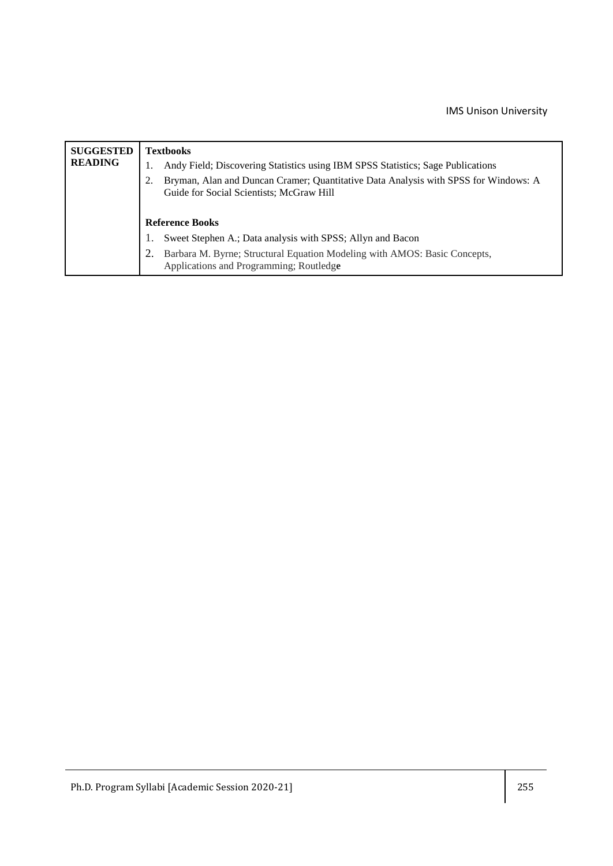| <b>SUGGESTED</b><br><b>READING</b> | <b>Textbooks</b><br>Andy Field; Discovering Statistics using IBM SPSS Statistics; Sage Publications<br>Bryman, Alan and Duncan Cramer; Quantitative Data Analysis with SPSS for Windows: A<br>2.<br>Guide for Social Scientists; McGraw Hill |
|------------------------------------|----------------------------------------------------------------------------------------------------------------------------------------------------------------------------------------------------------------------------------------------|
|                                    | <b>Reference Books</b>                                                                                                                                                                                                                       |
|                                    | Sweet Stephen A.; Data analysis with SPSS; Allyn and Bacon                                                                                                                                                                                   |
|                                    | Barbara M. Byrne; Structural Equation Modeling with AMOS: Basic Concepts,<br>Applications and Programming; Routledge                                                                                                                         |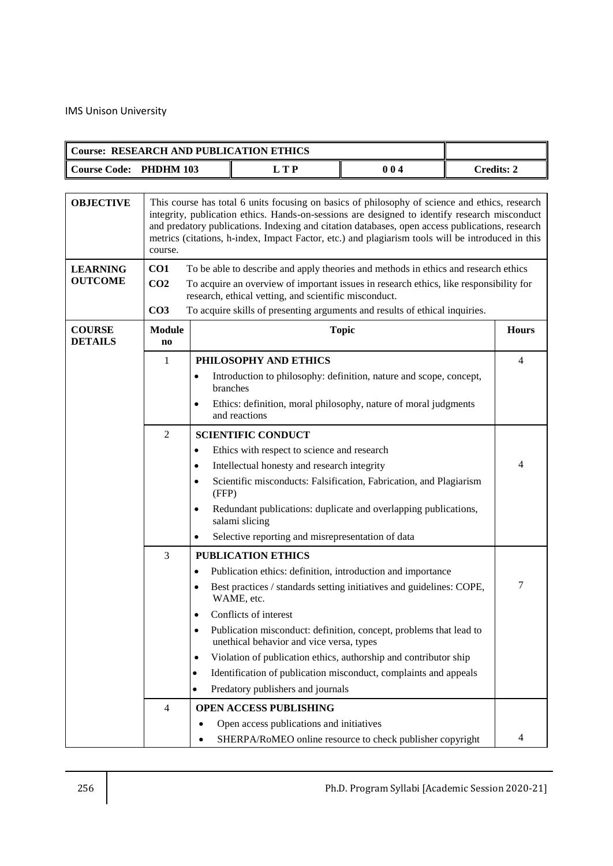| <b>Course: RESEARCH AND PUBLICATION ETHICS</b> |                                                                                                                                                                                                                                                                                                                                                                   |                                                                                                                                                                                                                                                                                                                                                                                                         |                                                                                                                                                                                                                                                                                                                                                                                                                                                                                                        |              |                   |                |  |
|------------------------------------------------|-------------------------------------------------------------------------------------------------------------------------------------------------------------------------------------------------------------------------------------------------------------------------------------------------------------------------------------------------------------------|---------------------------------------------------------------------------------------------------------------------------------------------------------------------------------------------------------------------------------------------------------------------------------------------------------------------------------------------------------------------------------------------------------|--------------------------------------------------------------------------------------------------------------------------------------------------------------------------------------------------------------------------------------------------------------------------------------------------------------------------------------------------------------------------------------------------------------------------------------------------------------------------------------------------------|--------------|-------------------|----------------|--|
| <b>Course Code: PHDHM 103</b>                  |                                                                                                                                                                                                                                                                                                                                                                   |                                                                                                                                                                                                                                                                                                                                                                                                         | <b>LTP</b>                                                                                                                                                                                                                                                                                                                                                                                                                                                                                             | 004          | <b>Credits: 2</b> |                |  |
| <b>OBJECTIVE</b>                               | course.                                                                                                                                                                                                                                                                                                                                                           | This course has total 6 units focusing on basics of philosophy of science and ethics, research<br>integrity, publication ethics. Hands-on-sessions are designed to identify research misconduct<br>and predatory publications. Indexing and citation databases, open access publications, research<br>metrics (citations, h-index, Impact Factor, etc.) and plagiarism tools will be introduced in this |                                                                                                                                                                                                                                                                                                                                                                                                                                                                                                        |              |                   |                |  |
| <b>LEARNING</b><br><b>OUTCOME</b>              | CO1<br>CO <sub>2</sub><br>CO <sub>3</sub>                                                                                                                                                                                                                                                                                                                         |                                                                                                                                                                                                                                                                                                                                                                                                         | To be able to describe and apply theories and methods in ethics and research ethics<br>To acquire an overview of important issues in research ethics, like responsibility for<br>research, ethical vetting, and scientific misconduct.<br>To acquire skills of presenting arguments and results of ethical inquiries.                                                                                                                                                                                  |              |                   |                |  |
| <b>COURSE</b><br><b>DETAILS</b>                | <b>Module</b><br>$\bf{no}$                                                                                                                                                                                                                                                                                                                                        |                                                                                                                                                                                                                                                                                                                                                                                                         |                                                                                                                                                                                                                                                                                                                                                                                                                                                                                                        | <b>Topic</b> |                   | <b>Hours</b>   |  |
|                                                | 1                                                                                                                                                                                                                                                                                                                                                                 | $\bullet$<br>$\bullet$                                                                                                                                                                                                                                                                                                                                                                                  | PHILOSOPHY AND ETHICS<br>Introduction to philosophy: definition, nature and scope, concept,<br>branches<br>Ethics: definition, moral philosophy, nature of moral judgments<br>and reactions                                                                                                                                                                                                                                                                                                            |              |                   | $\overline{4}$ |  |
|                                                | $\overline{2}$<br><b>SCIENTIFIC CONDUCT</b><br>Ethics with respect to science and research<br>$\bullet$<br>Intellectual honesty and research integrity<br>$\bullet$<br>Scientific misconducts: Falsification, Fabrication, and Plagiarism<br>$\bullet$<br>(FFP)<br>Redundant publications: duplicate and overlapping publications,<br>$\bullet$<br>salami slicing |                                                                                                                                                                                                                                                                                                                                                                                                         |                                                                                                                                                                                                                                                                                                                                                                                                                                                                                                        |              |                   | 4              |  |
|                                                |                                                                                                                                                                                                                                                                                                                                                                   | $\bullet$                                                                                                                                                                                                                                                                                                                                                                                               | Selective reporting and misrepresentation of data                                                                                                                                                                                                                                                                                                                                                                                                                                                      |              |                   |                |  |
|                                                | 3                                                                                                                                                                                                                                                                                                                                                                 | $\bullet$<br>$\bullet$<br>$\bullet$<br>$\bullet$<br>$\bullet$                                                                                                                                                                                                                                                                                                                                           | <b>PUBLICATION ETHICS</b><br>Publication ethics: definition, introduction and importance<br>Best practices / standards setting initiatives and guidelines: COPE,<br>WAME, etc.<br>Conflicts of interest<br>Publication misconduct: definition, concept, problems that lead to<br>unethical behavior and vice versa, types<br>Violation of publication ethics, authorship and contributor ship<br>Identification of publication misconduct, complaints and appeals<br>Predatory publishers and journals |              |                   | 7              |  |
|                                                | $\overline{4}$                                                                                                                                                                                                                                                                                                                                                    |                                                                                                                                                                                                                                                                                                                                                                                                         | <b>OPEN ACCESS PUBLISHING</b><br>Open access publications and initiatives                                                                                                                                                                                                                                                                                                                                                                                                                              |              |                   |                |  |
|                                                |                                                                                                                                                                                                                                                                                                                                                                   |                                                                                                                                                                                                                                                                                                                                                                                                         | SHERPA/RoMEO online resource to check publisher copyright                                                                                                                                                                                                                                                                                                                                                                                                                                              |              |                   | 4              |  |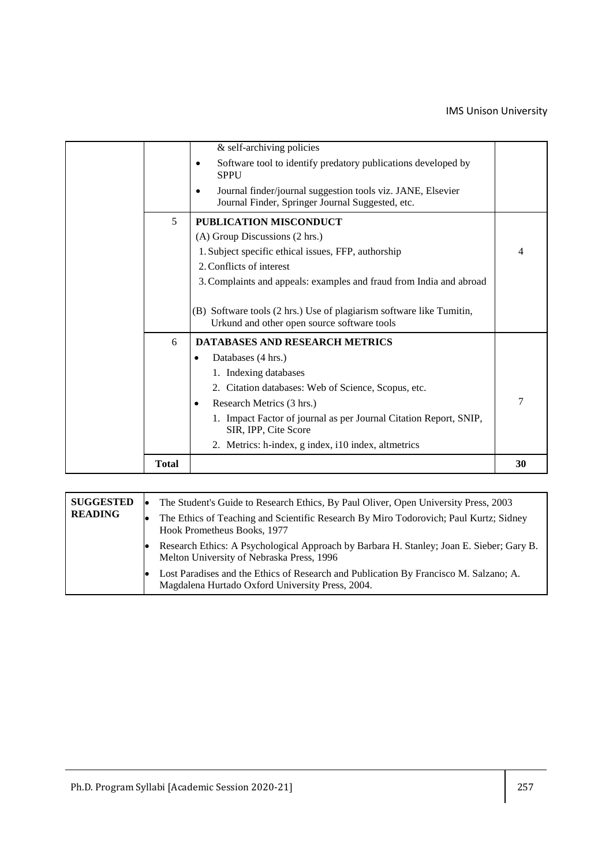|              | & self-archiving policies<br>Software tool to identify predatory publications developed by<br>$\bullet$<br><b>SPPU</b><br>Journal finder/journal suggestion tools viz. JANE, Elsevier<br>٠<br>Journal Finder, Springer Journal Suggested, etc.                                                                                                 |                |
|--------------|------------------------------------------------------------------------------------------------------------------------------------------------------------------------------------------------------------------------------------------------------------------------------------------------------------------------------------------------|----------------|
| 5            | PUBLICATION MISCONDUCT<br>(A) Group Discussions (2 hrs.)<br>1. Subject specific ethical issues, FFP, authorship<br>2. Conflicts of interest<br>3. Complaints and appeals: examples and fraud from India and abroad<br>(B) Software tools (2 hrs.) Use of plagiarism software like Tumitin,<br>Urkund and other open source software tools      | $\overline{4}$ |
| 6            | <b>DATABASES AND RESEARCH METRICS</b><br>Databases (4 hrs.)<br>٠<br>1. Indexing databases<br>2. Citation databases: Web of Science, Scopus, etc.<br>Research Metrics (3 hrs.)<br>$\bullet$<br>1. Impact Factor of journal as per Journal Citation Report, SNIP,<br>SIR, IPP, Cite Score<br>2. Metrics: h-index, g index, i10 index, altmetrics | 7              |
| <b>Total</b> |                                                                                                                                                                                                                                                                                                                                                | 30             |

| <b>SUGGESTED</b><br><b>READING</b> | The Student's Guide to Research Ethics, By Paul Oliver, Open University Press, 2003<br>The Ethics of Teaching and Scientific Research By Miro Todorovich; Paul Kurtz; Sidney<br>Hook Prometheus Books, 1977 |
|------------------------------------|-------------------------------------------------------------------------------------------------------------------------------------------------------------------------------------------------------------|
|                                    | Research Ethics: A Psychological Approach by Barbara H. Stanley; Joan E. Sieber; Gary B.<br>Melton University of Nebraska Press, 1996                                                                       |
|                                    | Lost Paradises and the Ethics of Research and Publication By Francisco M. Salzano; A.<br>Magdalena Hurtado Oxford University Press, 2004.                                                                   |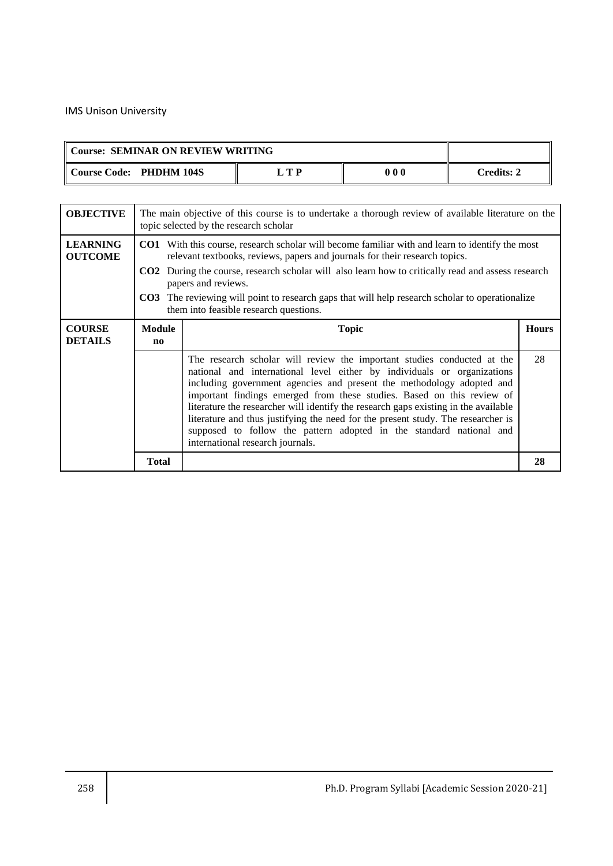| Course: SEMINAR ON REVIEW WRITING |       |     |            |
|-----------------------------------|-------|-----|------------|
| Course Code: PHDHM 104S           | . T P | 000 | Credits: 2 |

| <b>OBJECTIVE</b>                  | The main objective of this course is to undertake a thorough review of available literature on the<br>topic selected by the research scholar |                                                                                                                                                                                                                                                                                                                                                                                                                                                                                                                                                                                             |    |  |  |  |
|-----------------------------------|----------------------------------------------------------------------------------------------------------------------------------------------|---------------------------------------------------------------------------------------------------------------------------------------------------------------------------------------------------------------------------------------------------------------------------------------------------------------------------------------------------------------------------------------------------------------------------------------------------------------------------------------------------------------------------------------------------------------------------------------------|----|--|--|--|
| <b>LEARNING</b><br><b>OUTCOME</b> |                                                                                                                                              | <b>CO1</b> With this course, research scholar will become familiar with and learn to identify the most<br>relevant textbooks, reviews, papers and journals for their research topics.<br><b>CO2</b> During the course, research scholar will also learn how to critically read and assess research<br>papers and reviews.<br><b>CO3</b> The reviewing will point to research gaps that will help research scholar to operationalize<br>them into feasible research questions.                                                                                                               |    |  |  |  |
| <b>COURSE</b><br><b>DETAILS</b>   | <b>Module</b><br>$\mathbf{n}$                                                                                                                | <b>Topic</b>                                                                                                                                                                                                                                                                                                                                                                                                                                                                                                                                                                                |    |  |  |  |
|                                   |                                                                                                                                              | The research scholar will review the important studies conducted at the<br>national and international level either by individuals or organizations<br>including government agencies and present the methodology adopted and<br>important findings emerged from these studies. Based on this review of<br>literature the researcher will identify the research gaps existing in the available<br>literature and thus justifying the need for the present study. The researcher is<br>supposed to follow the pattern adopted in the standard national and<br>international research journals. | 28 |  |  |  |
|                                   | <b>Total</b>                                                                                                                                 |                                                                                                                                                                                                                                                                                                                                                                                                                                                                                                                                                                                             | 28 |  |  |  |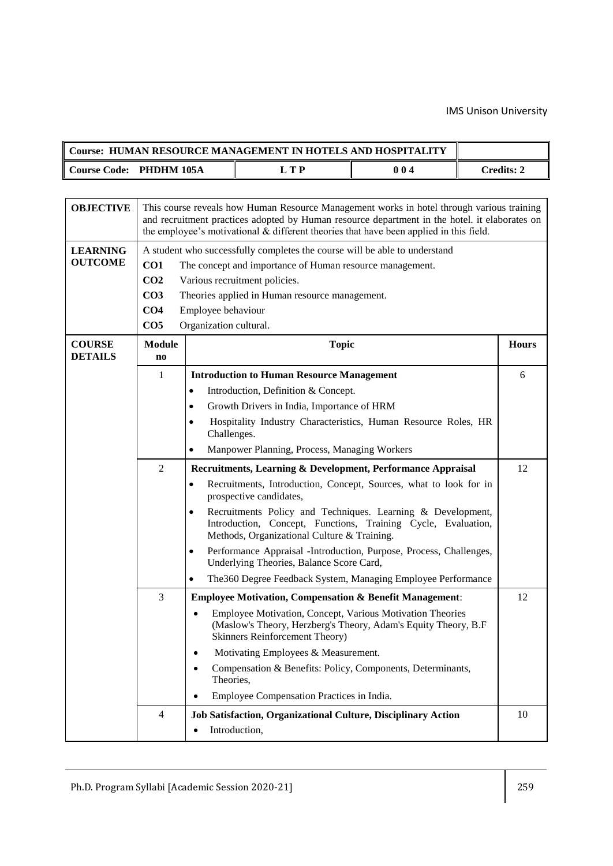| <b>Course: HUMAN RESOURCE MANAGEMENT IN HOTELS AND HOSPITALITY</b> |    |     |              |
|--------------------------------------------------------------------|----|-----|--------------|
| Course Code: PHDHM 105A                                            | TD | 004 | . 'redits∙ ^ |

| <b>OBJECTIVE</b>                                                                     | This course reveals how Human Resource Management works in hotel through various training<br>and recruitment practices adopted by Human resource department in the hotel. it elaborates on<br>the employee's motivational $&$ different theories that have been applied in this field. |                                                                                                                                                                                   |              |
|--------------------------------------------------------------------------------------|----------------------------------------------------------------------------------------------------------------------------------------------------------------------------------------------------------------------------------------------------------------------------------------|-----------------------------------------------------------------------------------------------------------------------------------------------------------------------------------|--------------|
| <b>LEARNING</b>                                                                      |                                                                                                                                                                                                                                                                                        | A student who successfully completes the course will be able to understand                                                                                                        |              |
| <b>OUTCOME</b>                                                                       | CO <sub>1</sub><br>The concept and importance of Human resource management.                                                                                                                                                                                                            |                                                                                                                                                                                   |              |
|                                                                                      | CO <sub>2</sub>                                                                                                                                                                                                                                                                        | Various recruitment policies.                                                                                                                                                     |              |
|                                                                                      | CO <sub>3</sub>                                                                                                                                                                                                                                                                        | Theories applied in Human resource management.                                                                                                                                    |              |
|                                                                                      | CO <sub>4</sub>                                                                                                                                                                                                                                                                        | Employee behaviour                                                                                                                                                                |              |
|                                                                                      | CO <sub>5</sub>                                                                                                                                                                                                                                                                        | Organization cultural.                                                                                                                                                            |              |
| <b>COURSE</b><br><b>DETAILS</b>                                                      | <b>Module</b><br>$\mathbf{n}\mathbf{o}$                                                                                                                                                                                                                                                | <b>Topic</b>                                                                                                                                                                      | <b>Hours</b> |
|                                                                                      | 1                                                                                                                                                                                                                                                                                      | <b>Introduction to Human Resource Management</b>                                                                                                                                  | 6            |
|                                                                                      |                                                                                                                                                                                                                                                                                        | Introduction, Definition & Concept.                                                                                                                                               |              |
|                                                                                      |                                                                                                                                                                                                                                                                                        | Growth Drivers in India, Importance of HRM                                                                                                                                        |              |
|                                                                                      |                                                                                                                                                                                                                                                                                        | Hospitality Industry Characteristics, Human Resource Roles, HR<br>Challenges.                                                                                                     |              |
|                                                                                      |                                                                                                                                                                                                                                                                                        | Manpower Planning, Process, Managing Workers                                                                                                                                      |              |
|                                                                                      | $\overline{2}$                                                                                                                                                                                                                                                                         | Recruitments, Learning & Development, Performance Appraisal                                                                                                                       | 12           |
|                                                                                      |                                                                                                                                                                                                                                                                                        | Recruitments, Introduction, Concept, Sources, what to look for in<br>prospective candidates,                                                                                      |              |
|                                                                                      |                                                                                                                                                                                                                                                                                        | Recruitments Policy and Techniques. Learning & Development,<br>Introduction, Concept, Functions, Training Cycle, Evaluation,<br>Methods, Organizational Culture & Training.       |              |
|                                                                                      |                                                                                                                                                                                                                                                                                        | Performance Appraisal -Introduction, Purpose, Process, Challenges,<br>$\bullet$<br>Underlying Theories, Balance Score Card,                                                       |              |
|                                                                                      |                                                                                                                                                                                                                                                                                        | The 360 Degree Feedback System, Managing Employee Performance                                                                                                                     |              |
| $\overline{3}$<br><b>Employee Motivation, Compensation &amp; Benefit Management:</b> |                                                                                                                                                                                                                                                                                        | 12                                                                                                                                                                                |              |
|                                                                                      |                                                                                                                                                                                                                                                                                        | Employee Motivation, Concept, Various Motivation Theories<br>$\bullet$<br>(Maslow's Theory, Herzberg's Theory, Adam's Equity Theory, B.F<br><b>Skinners Reinforcement Theory)</b> |              |
|                                                                                      |                                                                                                                                                                                                                                                                                        | Motivating Employees & Measurement.                                                                                                                                               |              |
|                                                                                      |                                                                                                                                                                                                                                                                                        | Compensation & Benefits: Policy, Components, Determinants,<br>$\bullet$<br>Theories,                                                                                              |              |
|                                                                                      |                                                                                                                                                                                                                                                                                        | Employee Compensation Practices in India.<br>$\bullet$                                                                                                                            |              |
|                                                                                      | $\overline{4}$                                                                                                                                                                                                                                                                         | Job Satisfaction, Organizational Culture, Disciplinary Action                                                                                                                     | 10           |
|                                                                                      |                                                                                                                                                                                                                                                                                        | Introduction,<br>$\bullet$                                                                                                                                                        |              |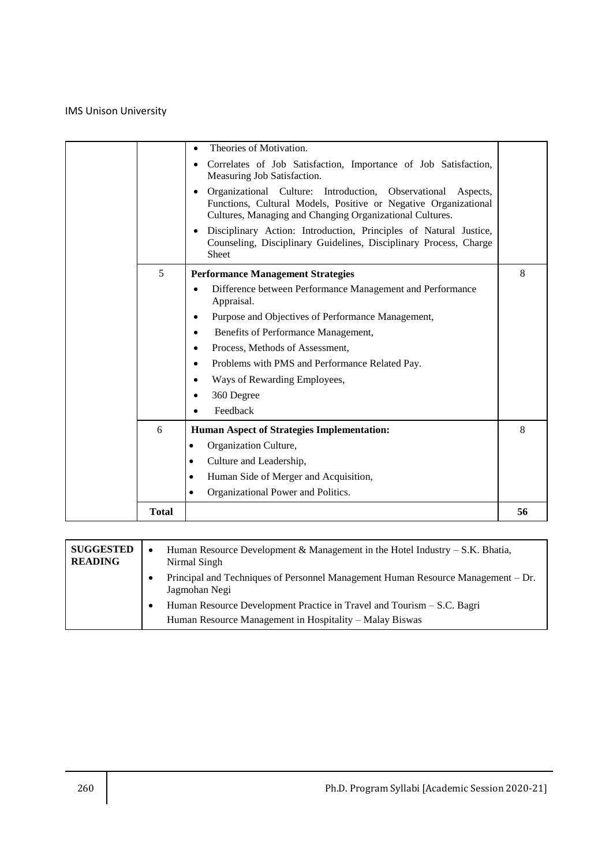|              | Theories of Motivation.<br>Correlates of Job Satisfaction, Importance of Job Satisfaction,<br>Measuring Job Satisfaction.<br>Organizational Culture: Introduction,<br>Observational<br>Aspects,<br>Functions, Cultural Models, Positive or Negative Organizational<br>Cultures, Managing and Changing Organizational Cultures.<br>Disciplinary Action: Introduction, Principles of Natural Justice,<br>$\bullet$<br>Counseling, Disciplinary Guidelines, Disciplinary Process, Charge<br><b>Sheet</b> |    |
|--------------|-------------------------------------------------------------------------------------------------------------------------------------------------------------------------------------------------------------------------------------------------------------------------------------------------------------------------------------------------------------------------------------------------------------------------------------------------------------------------------------------------------|----|
| 5            | <b>Performance Management Strategies</b><br>Difference between Performance Management and Performance<br>Appraisal.<br>Purpose and Objectives of Performance Management,<br>$\bullet$<br>Benefits of Performance Management,<br>Process, Methods of Assessment,<br>$\bullet$<br>Problems with PMS and Performance Related Pay.<br>$\bullet$<br>Ways of Rewarding Employees,<br>360 Degree<br>Feedback                                                                                                 | 8  |
| 6            | <b>Human Aspect of Strategies Implementation:</b><br>Organization Culture,<br>$\bullet$<br>Culture and Leadership,<br>$\bullet$<br>Human Side of Merger and Acquisition,<br>٠<br>Organizational Power and Politics.                                                                                                                                                                                                                                                                                   | 8  |
| <b>Total</b> |                                                                                                                                                                                                                                                                                                                                                                                                                                                                                                       | 56 |

| <b>SUGGESTED</b><br><b>READING</b> | Human Resource Development & Management in the Hotel Industry $- S.K. Bhatia$ ,<br>Nirmal Singh   |
|------------------------------------|---------------------------------------------------------------------------------------------------|
|                                    | Principal and Techniques of Personnel Management Human Resource Management – Dr.<br>Jagmohan Negi |
|                                    | Human Resource Development Practice in Travel and Tourism – S.C. Bagri                            |
|                                    | Human Resource Management in Hospitality - Malay Biswas                                           |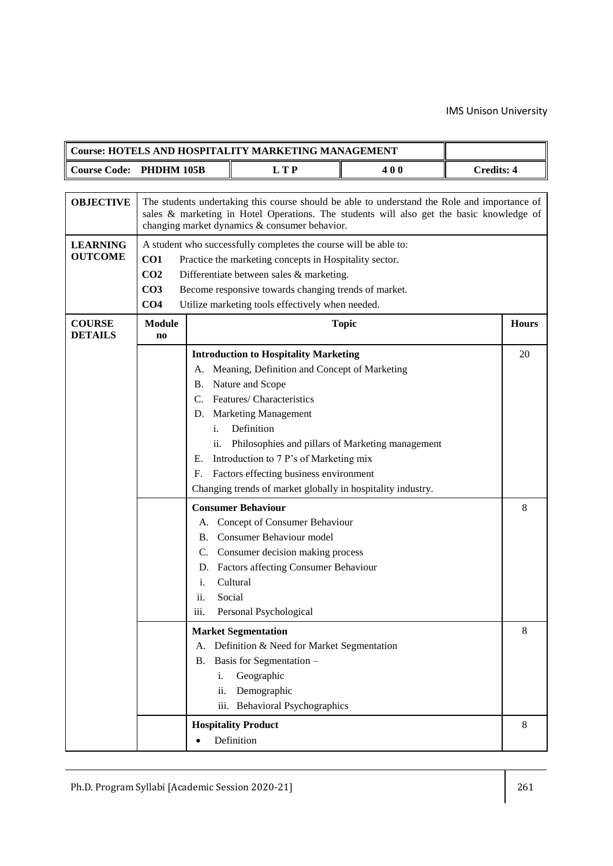|                                   |                                                                          |                                                                                                                                                                                                                                                                                    | <b>Course: HOTELS AND HOSPITALITY MARKETING MANAGEMENT</b>                                                                                                                                                                                                                                                                                                                                                                                                                                                                                                                                                                                  |              |  |                  |
|-----------------------------------|--------------------------------------------------------------------------|------------------------------------------------------------------------------------------------------------------------------------------------------------------------------------------------------------------------------------------------------------------------------------|---------------------------------------------------------------------------------------------------------------------------------------------------------------------------------------------------------------------------------------------------------------------------------------------------------------------------------------------------------------------------------------------------------------------------------------------------------------------------------------------------------------------------------------------------------------------------------------------------------------------------------------------|--------------|--|------------------|
| <b>Course Code:</b>               | <b>Credits: 4</b><br>PHDHM 105B<br><b>LTP</b><br>400                     |                                                                                                                                                                                                                                                                                    |                                                                                                                                                                                                                                                                                                                                                                                                                                                                                                                                                                                                                                             |              |  |                  |
|                                   |                                                                          |                                                                                                                                                                                                                                                                                    |                                                                                                                                                                                                                                                                                                                                                                                                                                                                                                                                                                                                                                             |              |  |                  |
| <b>OBJECTIVE</b>                  |                                                                          | The students undertaking this course should be able to understand the Role and importance of<br>sales & marketing in Hotel Operations. The students will also get the basic knowledge of<br>changing market dynamics & consumer behavior.                                          |                                                                                                                                                                                                                                                                                                                                                                                                                                                                                                                                                                                                                                             |              |  |                  |
| <b>LEARNING</b><br><b>OUTCOME</b> | CO <sub>1</sub><br>CO <sub>2</sub><br>CO <sub>3</sub><br>CO <sub>4</sub> | A student who successfully completes the course will be able to:<br>Practice the marketing concepts in Hospitality sector.<br>Differentiate between sales & marketing.<br>Become responsive towards changing trends of market.<br>Utilize marketing tools effectively when needed. |                                                                                                                                                                                                                                                                                                                                                                                                                                                                                                                                                                                                                                             |              |  |                  |
| <b>COURSE</b><br><b>DETAILS</b>   | <b>Module</b><br>$\mathbf{n}\mathbf{o}$                                  |                                                                                                                                                                                                                                                                                    |                                                                                                                                                                                                                                                                                                                                                                                                                                                                                                                                                                                                                                             | <b>Topic</b> |  | <b>Hours</b>     |
|                                   |                                                                          | А.<br>Β.<br>C.<br>D.<br>i.<br>ii.<br>Е.<br>F.<br>A.<br>В.<br>C.<br>D.<br>i.<br>Social<br>ii.<br>iii.                                                                                                                                                                               | <b>Introduction to Hospitality Marketing</b><br>Meaning, Definition and Concept of Marketing<br>Nature and Scope<br>Features/ Characteristics<br><b>Marketing Management</b><br>Definition<br>Philosophies and pillars of Marketing management<br>Introduction to 7 P's of Marketing mix<br>Factors effecting business environment<br>Changing trends of market globally in hospitality industry.<br><b>Consumer Behaviour</b><br>Concept of Consumer Behaviour<br>Consumer Behaviour model<br>Consumer decision making process<br>Factors affecting Consumer Behaviour<br>Cultural<br>Personal Psychological<br><b>Market Segmentation</b> |              |  | 20<br>8<br>$8\,$ |
|                                   |                                                                          | A.<br>В.<br>i.<br>ii.                                                                                                                                                                                                                                                              | Definition & Need for Market Segmentation<br>Basis for Segmentation -<br>Geographic<br>Demographic<br>iii. Behavioral Psychographics                                                                                                                                                                                                                                                                                                                                                                                                                                                                                                        |              |  |                  |
|                                   |                                                                          | $\bullet$                                                                                                                                                                                                                                                                          | <b>Hospitality Product</b><br>Definition                                                                                                                                                                                                                                                                                                                                                                                                                                                                                                                                                                                                    |              |  | 8                |